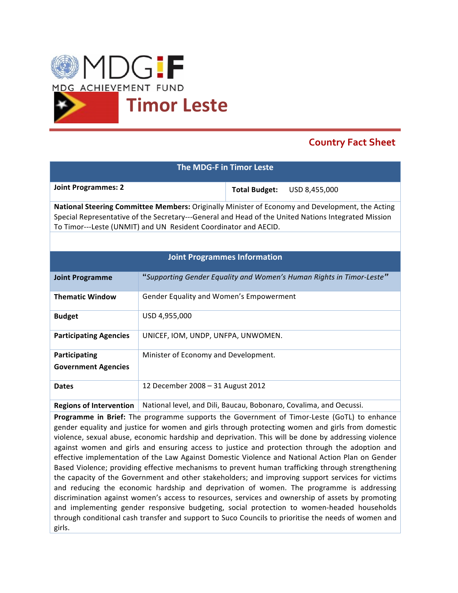

## **Country Fact Sheet**

| The MDG-F in Timor Leste                                                                                                                                                                                                                                                  |                                                                    |                      |                                                                      |
|---------------------------------------------------------------------------------------------------------------------------------------------------------------------------------------------------------------------------------------------------------------------------|--------------------------------------------------------------------|----------------------|----------------------------------------------------------------------|
| <b>Joint Programmes: 2</b>                                                                                                                                                                                                                                                |                                                                    | <b>Total Budget:</b> | USD 8,455,000                                                        |
| National Steering Committee Members: Originally Minister of Economy and Development, the Acting<br>Special Representative of the Secretary---General and Head of the United Nations Integrated Mission<br>To Timor---Leste (UNMIT) and UN Resident Coordinator and AECID. |                                                                    |                      |                                                                      |
|                                                                                                                                                                                                                                                                           |                                                                    |                      |                                                                      |
| <b>Joint Programmes Information</b>                                                                                                                                                                                                                                       |                                                                    |                      |                                                                      |
| <b>Joint Programme</b>                                                                                                                                                                                                                                                    |                                                                    |                      | "Supporting Gender Equality and Women's Human Rights in Timor-Leste" |
| <b>Thematic Window</b>                                                                                                                                                                                                                                                    | Gender Equality and Women's Empowerment                            |                      |                                                                      |
| <b>Budget</b>                                                                                                                                                                                                                                                             | USD 4,955,000                                                      |                      |                                                                      |
| <b>Participating Agencies</b>                                                                                                                                                                                                                                             | UNICEF, IOM, UNDP, UNFPA, UNWOMEN.                                 |                      |                                                                      |
| Participating<br><b>Government Agencies</b>                                                                                                                                                                                                                               | Minister of Economy and Development.                               |                      |                                                                      |
| <b>Dates</b>                                                                                                                                                                                                                                                              | 12 December 2008 - 31 August 2012                                  |                      |                                                                      |
| <b>Regions of Intervention</b>                                                                                                                                                                                                                                            | National level, and Dili, Baucau, Bobonaro, Covalima, and Oecussi. |                      |                                                                      |
| Programme in Brief: The programme supports the Government of Timor-Leste (GoTL) to enhance<br>gender equality and justice for women and girls through protecting women and girls from domestic                                                                            |                                                                    |                      |                                                                      |

violence, sexual abuse, economic hardship and deprivation. This will be done by addressing violence against women and girls and ensuring access to justice and protection through the adoption and effective implementation of the Law Against Domestic Violence and National Action Plan on Gender Based Violence; providing effective mechanisms to prevent human trafficking through strengthening the capacity of the Government and other stakeholders; and improving support services for victims and reducing the economic hardship and deprivation of women. The programme is addressing discrimination against women's access to resources, services and ownership of assets by promoting and implementing gender responsive budgeting, social protection to women-headed households through conditional cash transfer and support to Suco Councils to prioritise the needs of women and girls.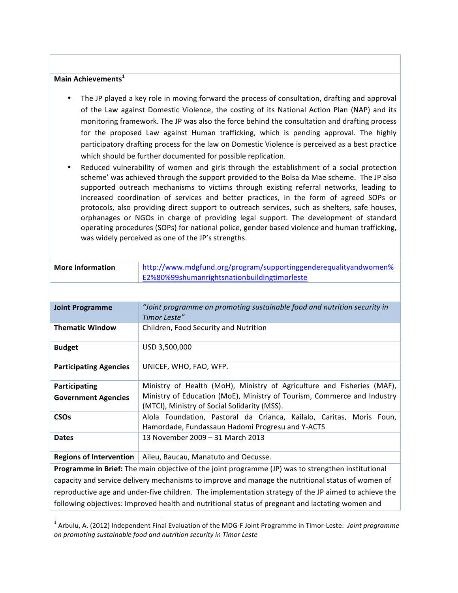## Main Achievements<sup>1</sup>

- The JP played a key role in moving forward the process of consultation, drafting and approval of the Law against Domestic Violence, the costing of its National Action Plan (NAP) and its monitoring framework. The JP was also the force behind the consultation and drafting process for the proposed Law against Human trafficking, which is pending approval. The highly participatory drafting process for the law on Domestic Violence is perceived as a best practice which should be further documented for possible replication.
- Reduced vulnerability of women and girls through the establishment of a social protection scheme' was achieved through the support provided to the Bolsa da Mae scheme. The JP also supported outreach mechanisms to victims through existing referral networks, leading to increased coordination of services and better practices, in the form of agreed SOPs or protocols, also providing direct support to outreach services, such as shelters, safe houses, orphanages or NGOs in charge of providing legal support. The development of standard operating procedures (SOPs) for national police, gender based violence and human trafficking, was widely perceived as one of the JP's strengths.

| <b>More information</b>                                                                              | http://www.mdgfund.org/program/supportinggenderequalityandwomen%         |  |  |
|------------------------------------------------------------------------------------------------------|--------------------------------------------------------------------------|--|--|
|                                                                                                      | E2%80%99shumanrightsnationbuildingtimorleste                             |  |  |
|                                                                                                      |                                                                          |  |  |
| <b>Joint Programme</b>                                                                               | "Joint programme on promoting sustainable food and nutrition security in |  |  |
|                                                                                                      | Timor Leste"                                                             |  |  |
| <b>Thematic Window</b>                                                                               | Children, Food Security and Nutrition                                    |  |  |
| <b>Budget</b>                                                                                        | USD 3,500,000                                                            |  |  |
| <b>Participating Agencies</b>                                                                        | UNICEF, WHO, FAO, WFP.                                                   |  |  |
| Participating                                                                                        | Ministry of Health (MoH), Ministry of Agriculture and Fisheries (MAF),   |  |  |
| <b>Government Agencies</b>                                                                           | Ministry of Education (MoE), Ministry of Tourism, Commerce and Industry  |  |  |
|                                                                                                      | (MTCI), Ministry of Social Solidarity (MSS).                             |  |  |
| <b>CSOs</b>                                                                                          | Alola Foundation, Pastoral da Crianca, Kailalo, Caritas, Moris Foun,     |  |  |
|                                                                                                      | Hamordade, Fundassaun Hadomi Progresu and Y-ACTS                         |  |  |
| <b>Dates</b>                                                                                         | 13 November 2009 - 31 March 2013                                         |  |  |
| <b>Regions of Intervention</b>                                                                       | Aileu, Baucau, Manatuto and Oecusse.                                     |  |  |
| Programme in Brief: The main objective of the joint programme (JP) was to strengthen institutional   |                                                                          |  |  |
| capacity and service delivery mechanisms to improve and manage the nutritional status of women of    |                                                                          |  |  |
| reproductive age and under-five children. The implementation strategy of the JP aimed to achieve the |                                                                          |  |  |
| following objectives: Improved health and nutritional status of pregnant and lactating women and     |                                                                          |  |  |

 $1$  Arbulu, A. (2012) Independent Final Evaluation of the MDG-F Joint Programme in Timor-Leste: Joint programme on promoting sustainable food and nutrition security in Timor Leste